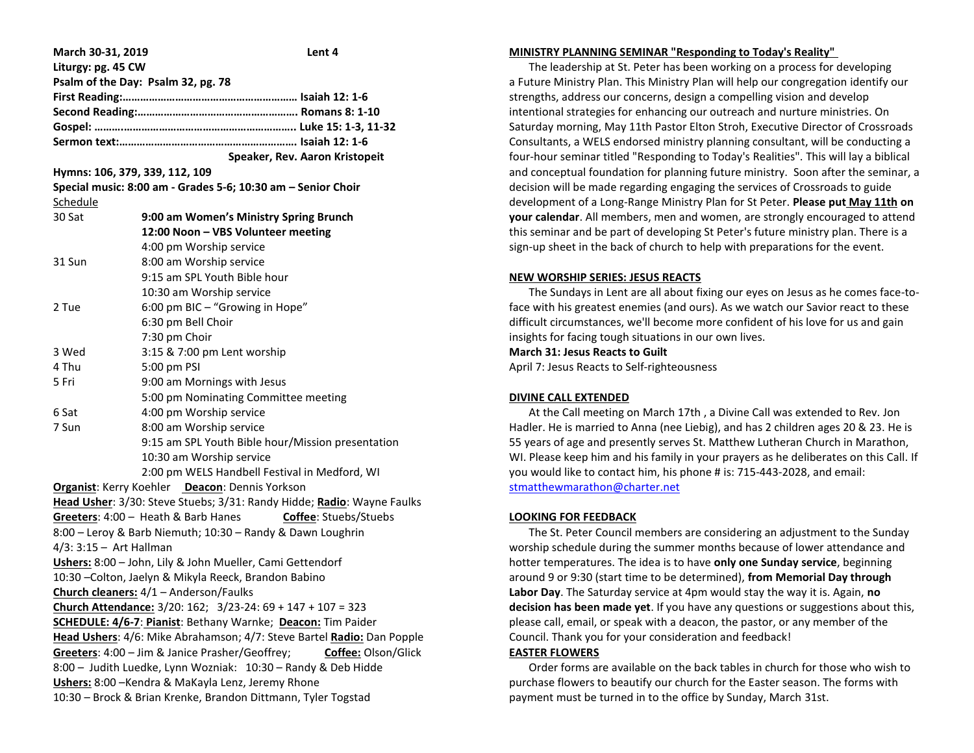| March 30-31, 2019                                                        | Lent 4                                                                 |
|--------------------------------------------------------------------------|------------------------------------------------------------------------|
| Liturgy: pg. 45 CW                                                       |                                                                        |
| Psalm of the Day: Psalm 32, pg. 78                                       |                                                                        |
|                                                                          |                                                                        |
|                                                                          |                                                                        |
|                                                                          |                                                                        |
|                                                                          |                                                                        |
|                                                                          | Speaker, Rev. Aaron Kristopeit                                         |
| Hymns: 106, 379, 339, 112, 109                                           |                                                                        |
| Special music: 8:00 am - Grades 5-6; 10:30 am - Senior Choir             |                                                                        |
| Schedule                                                                 |                                                                        |
| 30 Sat                                                                   | 9:00 am Women's Ministry Spring Brunch                                 |
|                                                                          | 12:00 Noon - VBS Volunteer meeting                                     |
|                                                                          | 4:00 pm Worship service                                                |
| 31 Sun                                                                   | 8:00 am Worship service                                                |
|                                                                          | 9:15 am SPL Youth Bible hour                                           |
|                                                                          | 10:30 am Worship service                                               |
| 2 Tue                                                                    | 6:00 pm BIC - "Growing in Hope"                                        |
|                                                                          | 6:30 pm Bell Choir                                                     |
|                                                                          | 7:30 pm Choir                                                          |
| 3 Wed                                                                    | 3:15 & 7:00 pm Lent worship                                            |
| 4 Thu                                                                    | 5:00 pm PSI                                                            |
| 5 Fri                                                                    | 9:00 am Mornings with Jesus                                            |
|                                                                          | 5:00 pm Nominating Committee meeting                                   |
| 6 Sat                                                                    | 4:00 pm Worship service                                                |
| 7 Sun                                                                    | 8:00 am Worship service                                                |
|                                                                          | 9:15 am SPL Youth Bible hour/Mission presentation                      |
|                                                                          | 10:30 am Worship service                                               |
|                                                                          | 2:00 pm WELS Handbell Festival in Medford, WI                          |
|                                                                          | Organist: Kerry Koehler Deacon: Dennis Yorkson                         |
|                                                                          | Head Usher: 3/30: Steve Stuebs; 3/31: Randy Hidde; Radio: Wayne Faulks |
|                                                                          | Coffee: Stuebs/Stuebs<br>Greeters: 4:00 - Heath & Barb Hanes           |
| 8:00 - Leroy & Barb Niemuth; 10:30 - Randy & Dawn Loughrin               |                                                                        |
| $4/3$ : 3:15 - Art Hallman                                               |                                                                        |
| Ushers: 8:00 - John, Lily & John Mueller, Cami Gettendorf                |                                                                        |
| 10:30 - Colton, Jaelyn & Mikyla Reeck, Brandon Babino                    |                                                                        |
| Church cleaners: 4/1 - Anderson/Faulks                                   |                                                                        |
| Church Attendance: $3/20$ : $162$ ; $3/23 - 24$ : $69 + 147 + 107 = 323$ |                                                                        |
| SCHEDULE: 4/6-7: Pianist: Bethany Warnke; Deacon: Tim Paider             |                                                                        |
| Head Ushers: 4/6: Mike Abrahamson; 4/7: Steve Bartel Radio: Dan Popple   |                                                                        |
| Greeters: 4:00 - Jim & Janice Prasher/Geoffrey;<br>Coffee: Olson/Glick   |                                                                        |
| 8:00 - Judith Luedke, Lynn Wozniak: 10:30 - Randy & Deb Hidde            |                                                                        |
| Ushers: 8:00 - Kendra & MaKayla Lenz, Jeremy Rhone                       |                                                                        |
| 10:30 - Brock & Brian Krenke, Brandon Dittmann, Tyler Togstad            |                                                                        |

### **MINISTRY PLANNING SEMINAR "Responding to Today's Reality"**

 The leadership at St. Peter has been working on a process for developing a Future Ministry Plan. This Ministry Plan will help our congregation identify our strengths, address our concerns, design a compelling vision and develop intentional strategies for enhancing our outreach and nurture ministries. On Saturday morning, May 11th Pastor Elton Stroh, Executive Director of Crossroads Consultants, a WELS endorsed ministry planning consultant, will be conducting a four-hour seminar titled "Responding to Today's Realities". This will lay a biblical and conceptual foundation for planning future ministry. Soon after the seminar, a decision will be made regarding engaging the services of Crossroads to guide development of a Long-Range Ministry Plan for St Peter. **Please put May 11th on your calendar**. All members, men and women, are strongly encouraged to attend this seminar and be part of developing St Peter's future ministry plan. There is a sign-up sheet in the back of church to help with preparations for the event.

#### **NEW WORSHIP SERIES: JESUS REACTS**

 The Sundays in Lent are all about fixing our eyes on Jesus as he comes face-toface with his greatest enemies (and ours). As we watch our Savior react to these difficult circumstances, we'll become more confident of his love for us and gain insights for facing tough situations in our own lives.

## **March 31: Jesus Reacts to Guilt**

April 7: Jesus Reacts to Self-righteousness

### **DIVINE CALL EXTENDED**

 At the Call meeting on March 17th , a Divine Call was extended to Rev. Jon Hadler. He is married to Anna (nee Liebig), and has 2 children ages 20 & 23. He is 55 years of age and presently serves St. Matthew Lutheran Church in Marathon, WI. Please keep him and his family in your prayers as he deliberates on this Call. If you would like to contact him, his phone # is: 715-443-2028, and email: [stmatthewmarathon@charter.net](mailto:stmatthewmarathon@charter.net)

# **LOOKING FOR FEEDBACK**

 The St. Peter Council members are considering an adjustment to the Sunday worship schedule during the summer months because of lower attendance and hotter temperatures. The idea is to have **only one Sunday service**, beginning around 9 or 9:30 (start time to be determined), **from Memorial Day through Labor Day**. The Saturday service at 4pm would stay the way it is. Again, **no decision has been made yet**. If you have any questions or suggestions about this, please call, email, or speak with a deacon, the pastor, or any member of the Council. Thank you for your consideration and feedback!

# **EASTER FLOWERS**

 Order forms are available on the back tables in church for those who wish to purchase flowers to beautify our church for the Easter season. The forms with payment must be turned in to the office by Sunday, March 31st.